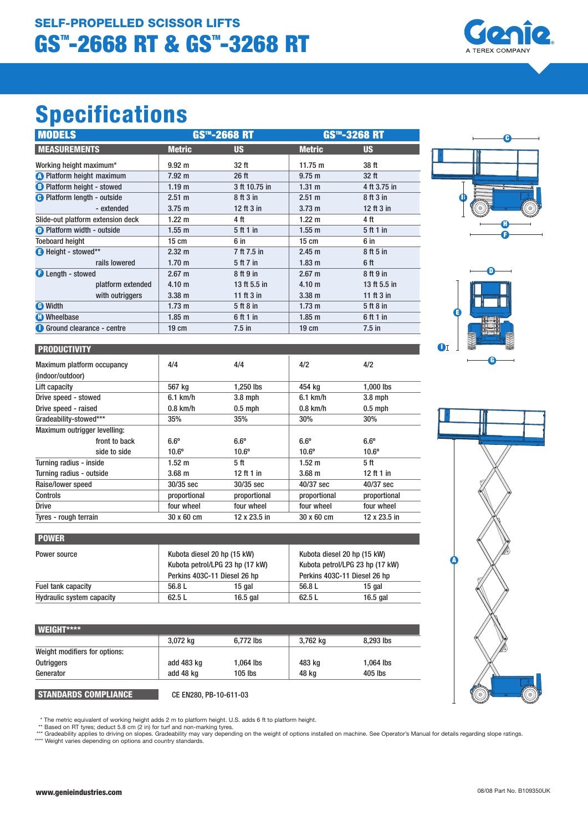# GS"-2668 RT & GS"-3268 RT SELF-PROPELLED SCISSOR LIFTS



# Specifications

| <b>MODELS</b>                      | <b>GS<sup>TM</sup>-2668 RT</b> |               | <b>GS™-3268 RT</b> |              |
|------------------------------------|--------------------------------|---------------|--------------------|--------------|
| <b>MEASUREMENTS</b>                | <b>Metric</b>                  | US            | <b>Metric</b>      | <b>US</b>    |
| Working height maximum*            | $9.92 \text{ m}$               | 32 ft         | 11.75 $m$          | 38 ft        |
| <b>A</b> Platform height maximum   | 7.92 m                         | 26 ft         | $9.75 \; m$        | 32 ft        |
| <b>B</b> Platform height - stowed  | 1.19 <sub>m</sub>              | 3 ft 10.75 in | $1.31 \text{ m}$   | 4 ft 3.75 in |
| <b>B</b> Platform length - outside | 2.51 m                         | 8 ft 3 in     | 2.51 m             | 8 ft 3 in    |
| - extended                         | 3.75 <sub>m</sub>              | 12 ft $3$ in  | $3.73 \text{ m}$   | 12 ft $3$ in |
| Slide-out platform extension deck  | 1.22 <sub>m</sub>              | 4 ft          | 1.22 <sub>m</sub>  | 4 ft         |
| <b>D</b> Platform width - outside  | 1.55 <sub>m</sub>              | 5ft1in        | $1.55$ m           | 5 ft 1 in    |
| <b>Toeboard height</b>             | $15 \text{ cm}$                | 6 in          | $15 \text{ cm}$    | 6 in         |
| Height - stowed**                  | $2.32 \text{ m}$               | 7 ft 7.5 in   | 2.45 m             | 8 ft 5 in    |
| rails lowered                      | 1.70 <sub>m</sub>              | 5 ft 7 in     | 1.83 <sub>m</sub>  | 6 ft         |
| <b>C</b> Length - stowed           | $2.67 \text{ m}$               | 8 ft 9 in     | 2.67 m             | 8 ft 9 in    |
| platform extended                  | 4.10 <sub>m</sub>              | 13 ft 5.5 in  | 4.10 <sub>m</sub>  | 13 ft 5.5 in |
| with outriggers                    | 3.38 <sub>m</sub>              | 11 ft $3$ in  | $3.38 \text{ m}$   | 11 ft $3$ in |
| <b>O</b> Width                     | 1.73 m                         | 5ft8in        | $1.73 \text{ m}$   | 5 ft 8 in    |
| <b>CD</b> Wheelbase                | 1.85 <sub>m</sub>              | 6 ft 1 in     | $1.85$ m           | 6 ft 1 in    |
| Ground clearance - centre          | $19 \text{ cm}$                | $7.5$ in      | $19 \text{ cm}$    | $7.5$ in     |







 $\overline{\phantom{0}}$  $\overline{\phantom{a}}$ 

| <b>PRODUCTIVITY</b>                            |                   |              |                   |              |
|------------------------------------------------|-------------------|--------------|-------------------|--------------|
| Maximum platform occupancy<br>(indoor/outdoor) | 4/4               | 4/4          | 4/2               | 4/2          |
| Lift capacity                                  | 567 kg            | $1.250$ lbs  | 454 ka            | 1.000 lbs    |
| Drive speed - stowed                           | $6.1$ km/h        | $3.8$ mph    | $6.1$ km/h        | $3.8$ mph    |
| Drive speed - raised                           | 0.8 km/h          | $0.5$ mph    | $0.8$ km/h        | $0.5$ mph    |
| Gradeability-stowed***                         | 35%               | 35%          | 30%               | 30%          |
| Maximum outrigger levelling:                   |                   |              |                   |              |
| front to back                                  | $6.6^\circ$       | $6.6^\circ$  | $6.6^\circ$       | $6.6^\circ$  |
| side to side                                   | $10.6^\circ$      | $10.6^\circ$ | $10.6^\circ$      | $10.6^\circ$ |
| Turning radius - inside                        | $1.52 \text{ m}$  | 5 ft         | 1.52 <sub>m</sub> | 5 ft         |
| Turning radius - outside                       | 3.68 <sub>m</sub> | 12 ft 1 in   | 3.68 <sub>m</sub> | 12 ft 1 in   |
| Raise/lower speed                              | 30/35 sec         | 30/35 sec    | 40/37 sec         | $40/37$ sec  |
| Controls                                       | proportional      | proportional | proportional      | proportional |
| <b>Drive</b>                                   | four wheel        | four wheel   | four wheel        | four wheel   |
| Tyres - rough terrain                          | 30 x 60 cm        | 12 x 23.5 in | 30 x 60 cm        | 12 x 23.5 in |

| <b>POWER</b>                     |        |                                                                                                |        |                                                                                                |
|----------------------------------|--------|------------------------------------------------------------------------------------------------|--------|------------------------------------------------------------------------------------------------|
| Power source                     |        | Kubota diesel 20 hp (15 kW)<br>Kubota petrol/LPG 23 hp (17 kW)<br>Perkins 403C-11 Diesel 26 hp |        | Kubota diesel 20 hp (15 kW)<br>Kubota petrol/LPG 23 hp (17 kW)<br>Perkins 403C-11 Diesel 26 hp |
| Fuel tank capacity               | 56.8 L | 15 gal                                                                                         | 56.8 L | 15 gal                                                                                         |
| <b>Hydraulic system capacity</b> | 62.5L  | 16.5 $q$ al                                                                                    | 62.5L  | $16.5$ gal                                                                                     |

| WEIGHT****                    |            |           |          |           |
|-------------------------------|------------|-----------|----------|-----------|
|                               | 3,072 kg   | 6.772 lbs | 3,762 kg | 8,293 lbs |
| Weight modifiers for options: |            |           |          |           |
| Outriggers                    | add 483 kg | 1,064 lbs | 483 kg   | 1,064 lbs |
| Generator                     | add 48 kg  | $105$ lbs | 48 kg    | 405 lbs   |

\* The metric equivalent of working height adds 2 m to platform height. U.S. adds 6 ft to platform height.<br>\*\* Based on RT tyres; deduct 5.8 cm (2 in) for turf and non-marking tyres.<br>\*\*\* Gradeability applies to driving on sl